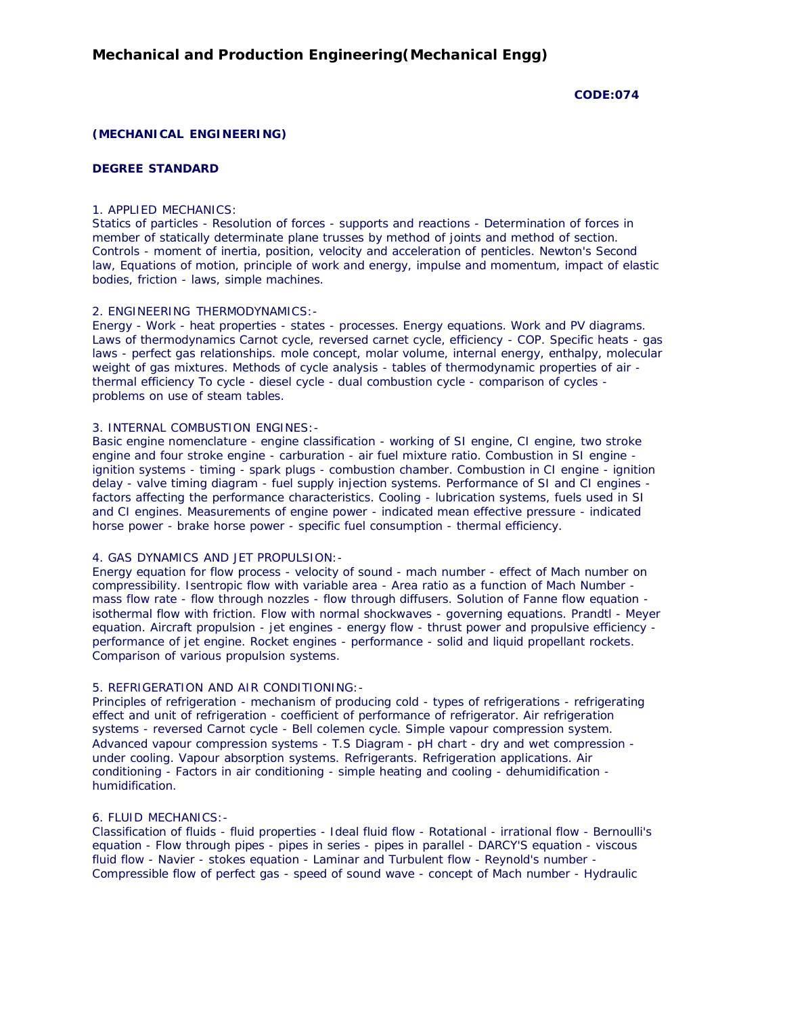#### **CODE:074**

# **(MECHANICAL ENGINEERING)**

## **DEGREE STANDARD**

## 1. APPLIED MECHANICS:

Statics of particles - Resolution of forces - supports and reactions - Determination of forces in member of statically determinate plane trusses by method of joints and method of section. Controls - moment of inertia, position, velocity and acceleration of penticles. Newton's Second law, Equations of motion, principle of work and energy, impulse and momentum, impact of elastic bodies, friction - laws, simple machines.

# 2. ENGINEERING THERMODYNAMICS:-

Energy - Work - heat properties - states - processes. Energy equations. Work and PV diagrams. Laws of thermodynamics Carnot cycle, reversed carnet cycle, efficiency - COP. Specific heats - gas laws - perfect gas relationships. mole concept, molar volume, internal energy, enthalpy, molecular weight of gas mixtures. Methods of cycle analysis - tables of thermodynamic properties of air thermal efficiency To cycle - diesel cycle - dual combustion cycle - comparison of cycles problems on use of steam tables.

#### 3. INTERNAL COMBUSTION ENGINES:-

Basic engine nomenclature - engine classification - working of SI engine, CI engine, two stroke engine and four stroke engine - carburation - air fuel mixture ratio. Combustion in SI engine ignition systems - timing - spark plugs - combustion chamber. Combustion in CI engine - ignition delay - valve timing diagram - fuel supply injection systems. Performance of SI and CI engines factors affecting the performance characteristics. Cooling - lubrication systems, fuels used in SI and CI engines. Measurements of engine power - indicated mean effective pressure - indicated horse power - brake horse power - specific fuel consumption - thermal efficiency.

#### 4. GAS DYNAMICS AND JET PROPULSION:-

Energy equation for flow process - velocity of sound - mach number - effect of Mach number on compressibility. Isentropic flow with variable area - Area ratio as a function of Mach Number mass flow rate - flow through nozzles - flow through diffusers. Solution of Fanne flow equation isothermal flow with friction. Flow with normal shockwaves - governing equations. Prandtl - Meyer equation. Aircraft propulsion - jet engines - energy flow - thrust power and propulsive efficiency performance of jet engine. Rocket engines - performance - solid and liquid propellant rockets. Comparison of various propulsion systems.

### 5. REFRIGERATION AND AIR CONDITIONING:-

Principles of refrigeration - mechanism of producing cold - types of refrigerations - refrigerating effect and unit of refrigeration - coefficient of performance of refrigerator. Air refrigeration systems - reversed Carnot cycle - Bell colemen cycle. Simple vapour compression system. Advanced vapour compression systems - T.S Diagram - pH chart - dry and wet compression under cooling. Vapour absorption systems. Refrigerants. Refrigeration applications. Air conditioning - Factors in air conditioning - simple heating and cooling - dehumidification humidification.

# 6. FLUID MECHANICS:-

Classification of fluids - fluid properties - Ideal fluid flow - Rotational - irrational flow - Bernoulli's equation - Flow through pipes - pipes in series - pipes in parallel - DARCY'S equation - viscous fluid flow - Navier - stokes equation - Laminar and Turbulent flow - Reynold's number - Compressible flow of perfect gas - speed of sound wave - concept of Mach number - Hydraulic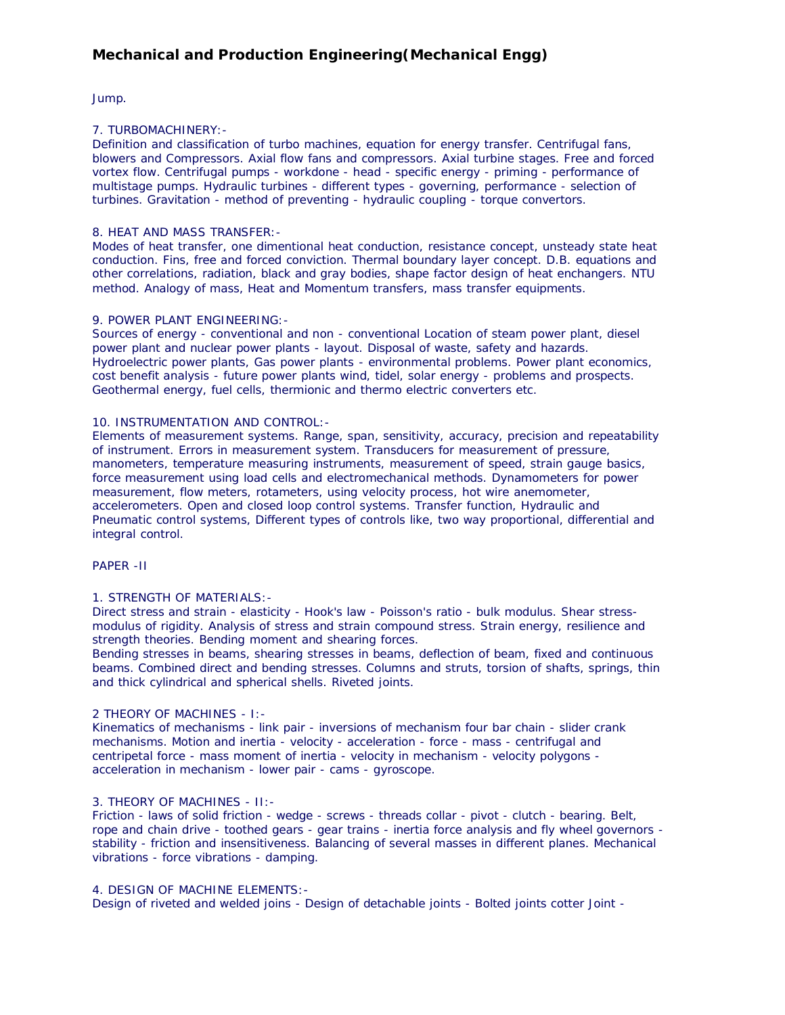# **Mechanical and Production Engineering(Mechanical Engg)**

Jump.

## 7. TURBOMACHINERY:-

Definition and classification of turbo machines, equation for energy transfer. Centrifugal fans, blowers and Compressors. Axial flow fans and compressors. Axial turbine stages. Free and forced vortex flow. Centrifugal pumps - workdone - head - specific energy - priming - performance of multistage pumps. Hydraulic turbines - different types - governing, performance - selection of turbines. Gravitation - method of preventing - hydraulic coupling - torque convertors.

## 8. HEAT AND MASS TRANSFER:-

Modes of heat transfer, one dimentional heat conduction, resistance concept, unsteady state heat conduction. Fins, free and forced conviction. Thermal boundary layer concept. D.B. equations and other correlations, radiation, black and gray bodies, shape factor design of heat enchangers. NTU method. Analogy of mass, Heat and Momentum transfers, mass transfer equipments.

# 9. POWER PLANT ENGINEERING:-

Sources of energy - conventional and non - conventional Location of steam power plant, diesel power plant and nuclear power plants - layout. Disposal of waste, safety and hazards. Hydroelectric power plants, Gas power plants - environmental problems. Power plant economics, cost benefit analysis - future power plants wind, tidel, solar energy - problems and prospects. Geothermal energy, fuel cells, thermionic and thermo electric converters etc.

### 10. INSTRUMENTATION AND CONTROL:-

Elements of measurement systems. Range, span, sensitivity, accuracy, precision and repeatability of instrument. Errors in measurement system. Transducers for measurement of pressure, manometers, temperature measuring instruments, measurement of speed, strain gauge basics, force measurement using load cells and electromechanical methods. Dynamometers for power measurement, flow meters, rotameters, using velocity process, hot wire anemometer, accelerometers. Open and closed loop control systems. Transfer function, Hydraulic and Pneumatic control systems, Different types of controls like, two way proportional, differential and integral control.

### PAPER -II

### 1. STRENGTH OF MATERIALS:-

Direct stress and strain - elasticity - Hook's law - Poisson's ratio - bulk modulus. Shear stressmodulus of rigidity. Analysis of stress and strain compound stress. Strain energy, resilience and strength theories. Bending moment and shearing forces.

Bending stresses in beams, shearing stresses in beams, deflection of beam, fixed and continuous beams. Combined direct and bending stresses. Columns and struts, torsion of shafts, springs, thin and thick cylindrical and spherical shells. Riveted joints.

### 2 THEORY OF MACHINES - I:-

Kinematics of mechanisms - link pair - inversions of mechanism four bar chain - slider crank mechanisms. Motion and inertia - velocity - acceleration - force - mass - centrifugal and centripetal force - mass moment of inertia - velocity in mechanism - velocity polygons acceleration in mechanism - lower pair - cams - gyroscope.

### 3. THEORY OF MACHINES - II:-

Friction - laws of solid friction - wedge - screws - threads collar - pivot - clutch - bearing. Belt, rope and chain drive - toothed gears - gear trains - inertia force analysis and fly wheel governors stability - friction and insensitiveness. Balancing of several masses in different planes. Mechanical vibrations - force vibrations - damping.

### 4. DESIGN OF MACHINE ELEMENTS:-

Design of riveted and welded joins - Design of detachable joints - Bolted joints cotter Joint -